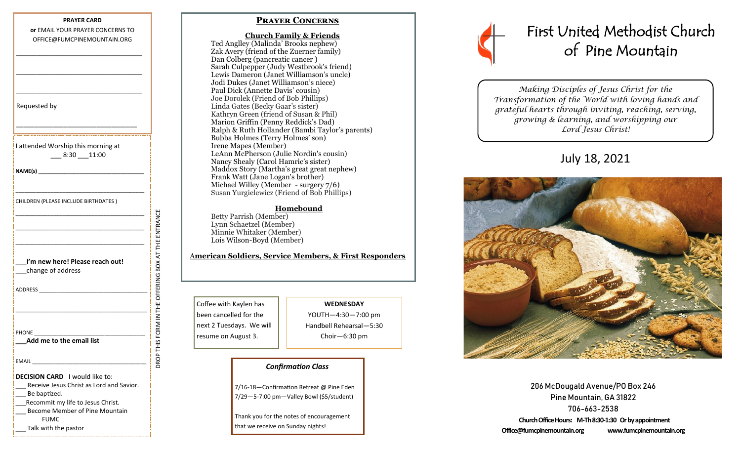| or EMAIL YOUR PRAYER CONCERNS TO                                                                               |                                          |
|----------------------------------------------------------------------------------------------------------------|------------------------------------------|
|                                                                                                                |                                          |
| OFFICE@FUMCPINEMOUNTAIN.ORG                                                                                    |                                          |
|                                                                                                                |                                          |
|                                                                                                                |                                          |
| Requested by                                                                                                   |                                          |
| I attended Worship this morning at<br>$-8:30 - 11:00$                                                          |                                          |
|                                                                                                                |                                          |
| CHILDREN (PLEASE INCLUDE BIRTHDATES)                                                                           |                                          |
|                                                                                                                |                                          |
| I'm new here! Please reach out!<br>change of address                                                           | FORM IN THE OFFERING BOX AT THE ENTRANCE |
| ADDRESS ARE AN ARRAIGNMENT AND A RESIDENCE OF A REPORT OF A REPORT OF A REPORT OF A REPORT OF A REPORT OF A RE |                                          |
|                                                                                                                |                                          |
| PHONE<br>Add me to the email list                                                                              |                                          |
|                                                                                                                | v                                        |
| EMAIL                                                                                                          |                                          |
| <b>DECISION CARD</b> I would like to:                                                                          |                                          |
| Receive Jesus Christ as Lord and Savior.                                                                       |                                          |
| Be baptized.                                                                                                   |                                          |
| Recommit my life to Jesus Christ.                                                                              |                                          |
| <b>Become Member of Pine Mountain</b><br><b>FUMC</b>                                                           |                                          |
| Talk with the pastor                                                                                           |                                          |

1.<br>La construcción de la construcción de la construcción de la construcción de la construcción de la construcción

### **Prayer Concerns**

 **Church Family & Friends** Ted Anglley (Malinda' Brooks nephew) Zak Avery (friend of the Zuerner family) Dan Colberg (pancreatic cancer ) Sarah Culpepper (Judy Westbrook's friend) Lewis Dameron (Janet Williamson's uncle) Jodi Dukes (Janet Williamson's niece) Paul Dick (Annette Davis' cousin) Joe Dorolek (Friend of Bob Phillips) Linda Gates (Becky Gaar's sister) Kathryn Green (friend of Susan & Phil) Marion Griffin (Penny Reddick's Dad) Ralph & Ruth Hollander (Bambi Taylor's parents) Bubba Holmes (Terry Holmes' son) Irene Mapes (Member) LeAnn McPherson (Julie Nordin's cousin) Nancy Shealy (Carol Hamric's sister) Maddox Story (Martha's great great nephew) Frank Watt (Jane Logan's brother) Michael Willey (Member - surgery 7/6) Susan Yurgielewicz (Friend of Bob Phillips)

#### **Homebound**

Betty Parrish (Member) Lynn Schaetzel (Member) Minnie Whitaker (Member) Lois Wilson-Boyd (Member)

#### A**merican Soldiers, Service Members, & First Responders**

Coffee with Kaylen has been cancelled for the next 2 Tuesdays. We will resume on August 3.

## **WEDNESDAY**

YOUTH—4:30—7:00 pm Handbell Rehearsal—5:30 Choir—6:30 pm

#### *Confirmation Class*

7/16-18—Confirmation Retreat @ Pine Eden 7/29—5-7:00 pm—Valley Bowl (\$5/student)

Thank you for the notes of encouragement that we receive on Sunday nights!



*Making Disciples of Jesus Christ for the Transformation of the World with loving hands and grateful hearts through inviting, reaching, serving, growing & learning, and worshipping our Lord Jesus Christ!* 

# July 18, 2021



206 McDougald Avenue/PO Box 246 Pine Mountain, GA 31822 706-663-2538 **Church Office Hours: M-Th 8:30-1:30 Or by appointment Office@fumcpinemountain.org www.fumcpinemountain.org**